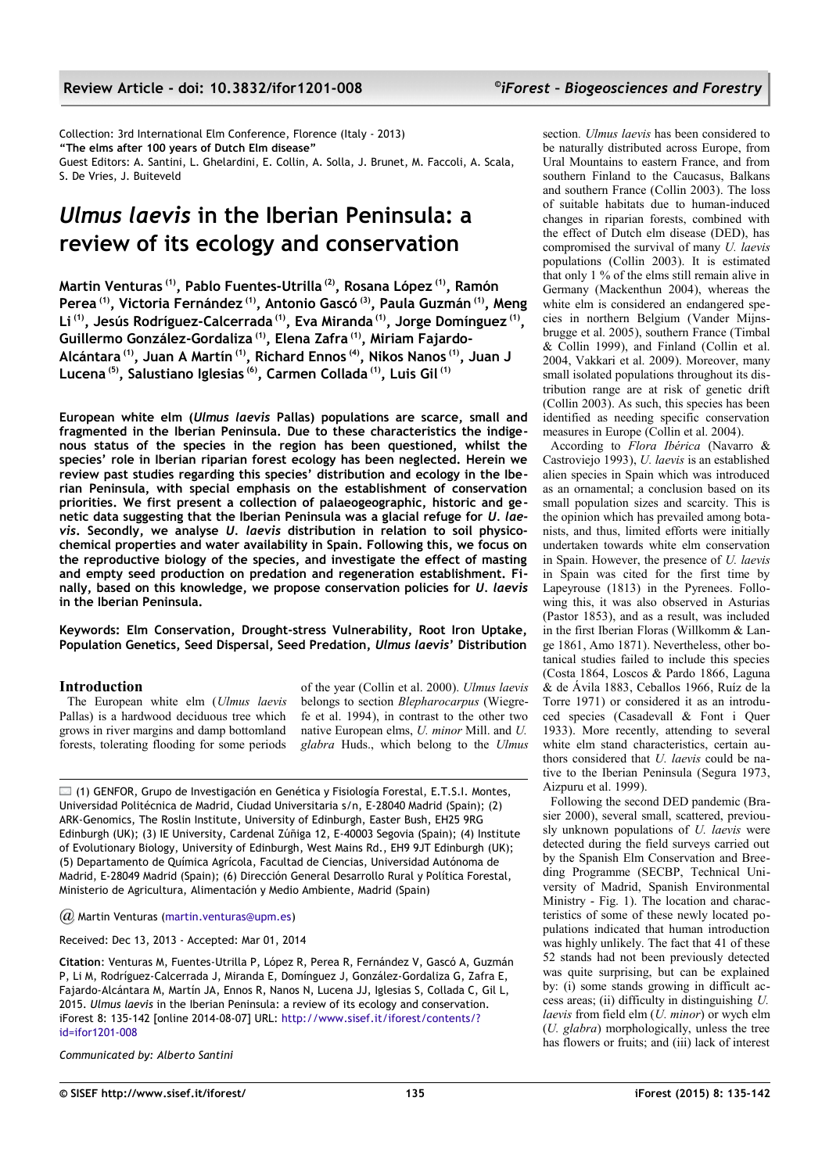Collection: 3rd International Elm Conference, Florence (Italy - 2013) **"The elms after 100 years of Dutch Elm disease"** Guest Editors: A. Santini, L. Ghelardini, E. Collin, A. Solla, J. Brunet, M. Faccoli, A. Scala, S. De Vries, J. Buiteveld

# *Ulmus laevis* **in the Iberian Peninsula: a review of its ecology and conservation**

**Martin Venturas (1), Pablo Fuentes-Utrilla (2), Rosana López (1), Ramón Perea (1), Victoria Fernández (1), Antonio Gascó (3), Paula Guzmán (1), Meng Li (1), Jesús Rodríguez-Calcerrada (1), Eva Miranda (1), Jorge Domínguez (1) , Guillermo González-Gordaliza (1), Elena Zafra (1), Miriam Fajardo-Alcántara (1), Juan A Martín (1), Richard Ennos (4), Nikos Nanos (1), Juan J Lucena (5), Salustiano Iglesias (6), Carmen Collada (1), Luis Gil (1)**

**European white elm (***Ulmus laevis* **Pallas) populations are scarce, small and fragmented in the Iberian Peninsula. Due to these characteristics the indigenous status of the species in the region has been questioned, whilst the species' role in Iberian riparian forest ecology has been neglected. Herein we review past studies regarding this species' distribution and ecology in the Iberian Peninsula, with special emphasis on the establishment of conservation priorities. We first present a collection of palaeogeographic, historic and genetic data suggesting that the Iberian Peninsula was a glacial refuge for** *U. laevis***. Secondly, we analyse** *U. laevis* **distribution in relation to soil physicochemical properties and water availability in Spain. Following this, we focus on the reproductive biology of the species, and investigate the effect of masting and empty seed production on predation and regeneration establishment. Finally, based on this knowledge, we propose conservation policies for** *U. laevis* **in the Iberian Peninsula.**

**Keywords: Elm Conservation, Drought-stress Vulnerability, Root Iron Uptake, Population Genetics, Seed Dispersal, Seed Predation,** *Ulmus laevis***' Distribution**

## **Introduction**

The European white elm (*Ulmus laevis* Pallas) is a hardwood deciduous tree which grows in river margins and damp bottomland forests, tolerating flooding for some periods

of the year (Collin et al. 2000). *Ulmus laevis* belongs to section *Blepharocarpus* (Wiegrefe et al. 1994), in contrast to the other two native European elms, *U. minor* Mill. and *U. glabra* Huds., which belong to the *Ulmus*

 $\Box$  (1) GENFOR, Grupo de Investigación en Genética y Fisiología Forestal, E.T.S.I. Montes, Universidad Politécnica de Madrid, Ciudad Universitaria s/n, E-28040 Madrid (Spain); (2) ARK-Genomics, The Roslin Institute, University of Edinburgh, Easter Bush, EH25 9RG Edinburgh (UK); (3) IE University, Cardenal Zúñiga 12, E-40003 Segovia (Spain); (4) Institute of Evolutionary Biology, University of Edinburgh, West Mains Rd., EH9 9JT Edinburgh (UK); (5) Departamento de Química Agrícola, Facultad de Ciencias, Universidad Autónoma de Madrid, E-28049 Madrid (Spain); (6) Dirección General Desarrollo Rural y Política Forestal, Ministerio de Agricultura, Alimentación y Medio Ambiente, Madrid (Spain)

*@* Martin Venturas [\(martin.venturas@upm.es\)](mailto:)

Received: Dec 13, 2013 - Accepted: Mar 01, 2014

**Citation**: Venturas M, Fuentes-Utrilla P, López R, Perea R, Fernández V, Gascó A, Guzmán P, Li M, Rodríguez-Calcerrada J, Miranda E, Domínguez J, González-Gordaliza G, Zafra E, Fajardo-Alcántara M, Martín JA, Ennos R, Nanos N, Lucena JJ, Iglesias S, Collada C, Gil L, 2015. *Ulmus laevis* in the Iberian Peninsula: a review of its ecology and conservation. iForest 8: 135-142 [online 2014-08-07] URL: [http://www.sisef.it/iforest/contents/?](http://www.sisef.it/iforest/contents/?id=ifor1201-008) [id=ifor1201-008](http://www.sisef.it/iforest/contents/?id=ifor1201-008)

*Communicated by: Alberto Santini*

section*. Ulmus laevis* has been considered to be naturally distributed across Europe, from Ural Mountains to eastern France, and from southern Finland to the Caucasus, Balkans and southern France (Collin 2003). The loss of suitable habitats due to human-induced changes in riparian forests, combined with the effect of Dutch elm disease (DED), has compromised the survival of many *U. laevis* populations (Collin 2003). It is estimated that only 1 % of the elms still remain alive in Germany (Mackenthun 2004), whereas the white elm is considered an endangered species in northern Belgium (Vander Mijnsbrugge et al. 2005), southern France (Timbal & Collin 1999), and Finland (Collin et al. 2004, Vakkari et al. 2009). Moreover, many small isolated populations throughout its distribution range are at risk of genetic drift (Collin 2003). As such, this species has been identified as needing specific conservation measures in Europe (Collin et al. 2004).

According to *Flora Ibérica* (Navarro & Castroviejo 1993), *U. laevis* is an established alien species in Spain which was introduced as an ornamental; a conclusion based on its small population sizes and scarcity. This is the opinion which has prevailed among botanists, and thus, limited efforts were initially undertaken towards white elm conservation in Spain. However, the presence of *U. laevis* in Spain was cited for the first time by Lapeyrouse (1813) in the Pyrenees. Following this, it was also observed in Asturias (Pastor 1853), and as a result, was included in the first Iberian Floras (Willkomm & Lange 1861, Amo 1871). Nevertheless, other botanical studies failed to include this species (Costa 1864, Loscos & Pardo 1866, Laguna & de Ávila 1883, Ceballos 1966, Ruíz de la Torre 1971) or considered it as an introduced species (Casadevall & Font i Quer 1933). More recently, attending to several white elm stand characteristics, certain authors considered that *U. laevis* could be native to the Iberian Peninsula (Segura 1973, Aizpuru et al. 1999).

Following the second DED pandemic (Brasier 2000), several small, scattered, previously unknown populations of *U. laevis* were detected during the field surveys carried out by the Spanish Elm Conservation and Breeding Programme (SECBP, Technical University of Madrid, Spanish Environmental Ministry - [Fig. 1\)](#page-1-0). The location and characteristics of some of these newly located populations indicated that human introduction was highly unlikely. The fact that 41 of these 52 stands had not been previously detected was quite surprising, but can be explained by: (i) some stands growing in difficult access areas; (ii) difficulty in distinguishing *U. laevis* from field elm (*U. minor*) or wych elm (*U. glabra*) morphologically, unless the tree has flowers or fruits; and (iii) lack of interest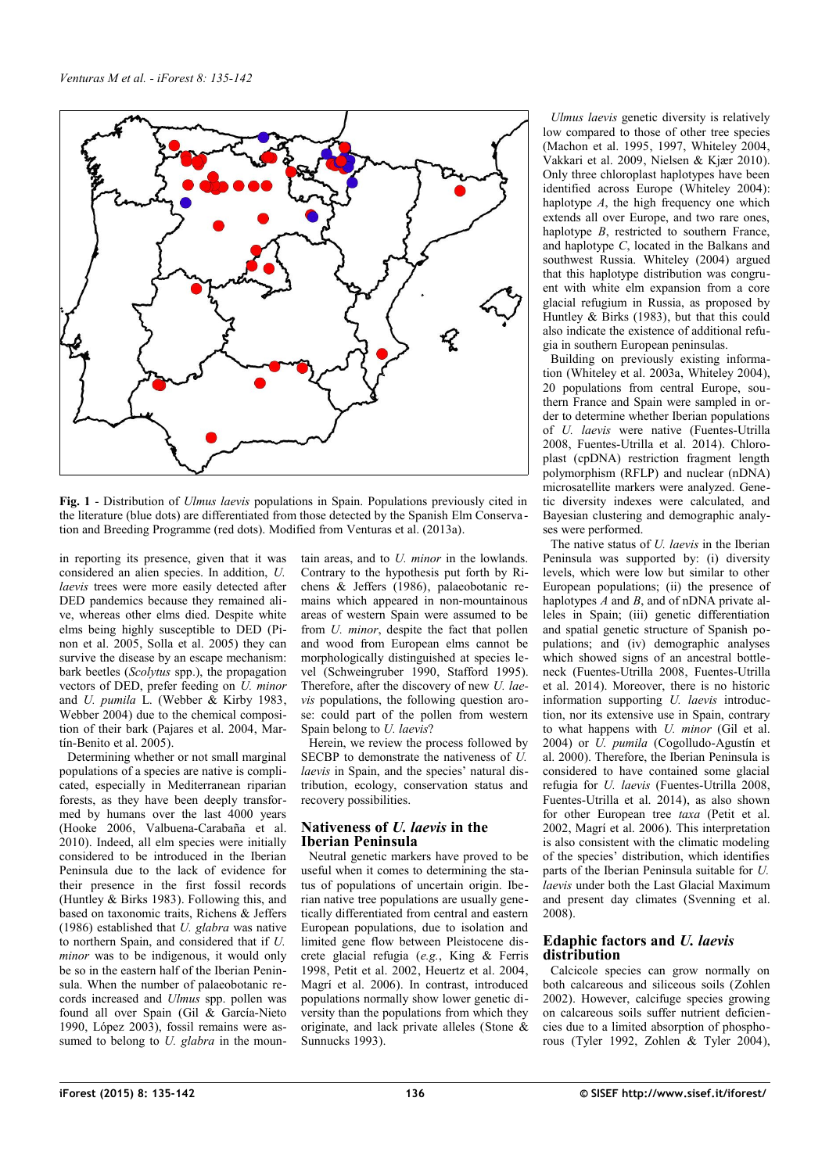

<span id="page-1-0"></span>**Fig. 1** - Distribution of *Ulmus laevis* populations in Spain. Populations previously cited in the literature (blue dots) are differentiated from those detected by the Spanish Elm Conserva tion and Breeding Programme (red dots). Modified from Venturas et al. (2013a).

in reporting its presence, given that it was considered an alien species. In addition, *U. laevis* trees were more easily detected after DED pandemics because they remained alive, whereas other elms died. Despite white elms being highly susceptible to DED (Pinon et al. 2005, Solla et al. 2005) they can survive the disease by an escape mechanism: bark beetles (*Scolytus* spp.), the propagation vectors of DED, prefer feeding on *U. minor* and *U. pumila* L. (Webber & Kirby 1983, Webber 2004) due to the chemical composition of their bark (Pajares et al. 2004, Martín-Benito et al. 2005).

Determining whether or not small marginal populations of a species are native is complicated, especially in Mediterranean riparian forests, as they have been deeply transformed by humans over the last 4000 years (Hooke 2006, Valbuena-Carabaña et al. 2010). Indeed, all elm species were initially considered to be introduced in the Iberian Peninsula due to the lack of evidence for their presence in the first fossil records (Huntley & Birks 1983). Following this, and based on taxonomic traits, Richens & Jeffers (1986) established that *U. glabra* was native to northern Spain, and considered that if *U. minor* was to be indigenous, it would only be so in the eastern half of the Iberian Peninsula. When the number of palaeobotanic records increased and *Ulmus* spp. pollen was found all over Spain (Gil & García-Nieto 1990, López  $200\overline{3}$ , fossil remains were assumed to belong to *U. glabra* in the mountain areas, and to *U. minor* in the lowlands. Contrary to the hypothesis put forth by Richens & Jeffers (1986), palaeobotanic remains which appeared in non-mountainous areas of western Spain were assumed to be from *U. minor*, despite the fact that pollen and wood from European elms cannot be morphologically distinguished at species level (Schweingruber 1990, Stafford 1995). Therefore, after the discovery of new *U. laevis* populations, the following question arose: could part of the pollen from western Spain belong to *U. laevis*?

Herein, we review the process followed by SECBP to demonstrate the nativeness of *U. laevis* in Spain, and the species' natural distribution, ecology, conservation status and recovery possibilities.

## **Nativeness of** *U. laevis* **in the Iberian Peninsula**

Neutral genetic markers have proved to be useful when it comes to determining the status of populations of uncertain origin. Iberian native tree populations are usually genetically differentiated from central and eastern European populations, due to isolation and limited gene flow between Pleistocene discrete glacial refugia (*e.g.*, King & Ferris 1998, Petit et al. 2002, Heuertz et al. 2004, Magrí et al. 2006). In contrast, introduced populations normally show lower genetic diversity than the populations from which they originate, and lack private alleles (Stone & Sunnucks 1993).

*Ulmus laevis* genetic diversity is relatively low compared to those of other tree species (Machon et al. 1995, 1997, Whiteley 2004, Vakkari et al. 2009, Nielsen & Kjær 2010). Only three chloroplast haplotypes have been identified across Europe (Whiteley 2004): haplotype *A*, the high frequency one which extends all over Europe, and two rare ones, haplotype *B*, restricted to southern France, and haplotype *C*, located in the Balkans and southwest Russia. Whiteley (2004) argued that this haplotype distribution was congruent with white elm expansion from a core glacial refugium in Russia, as proposed by Huntley & Birks (1983), but that this could also indicate the existence of additional refugia in southern European peninsulas.

Building on previously existing information (Whiteley et al. 2003a, Whiteley 2004), 20 populations from central Europe, southern France and Spain were sampled in order to determine whether Iberian populations of *U. laevis* were native (Fuentes-Utrilla 2008, Fuentes-Utrilla et al. 2014). Chloroplast (cpDNA) restriction fragment length polymorphism (RFLP) and nuclear (nDNA) microsatellite markers were analyzed. Genetic diversity indexes were calculated, and Bayesian clustering and demographic analyses were performed.

The native status of *U. laevis* in the Iberian Peninsula was supported by: (i) diversity levels, which were low but similar to other European populations; (ii) the presence of haplotypes *A* and *B*, and of nDNA private alleles in Spain; (iii) genetic differentiation and spatial genetic structure of Spanish populations; and (iv) demographic analyses which showed signs of an ancestral bottleneck (Fuentes-Utrilla 2008, Fuentes-Utrilla et al. 2014). Moreover, there is no historic information supporting *U. laevis* introduction, nor its extensive use in Spain, contrary to what happens with *U. minor* (Gil et al. 2004) or *U. pumila* (Cogolludo-Agustín et al. 2000). Therefore, the Iberian Peninsula is considered to have contained some glacial refugia for *U. laevis* (Fuentes-Utrilla 2008, Fuentes-Utrilla et al. 2014), as also shown for other European tree *taxa* (Petit et al. 2002, Magrí et al. 2006). This interpretation is also consistent with the climatic modeling of the species' distribution, which identifies parts of the Iberian Peninsula suitable for *U. laevis* under both the Last Glacial Maximum and present day climates (Svenning et al. 2008).

## **Edaphic factors and** *U. laevis* **distribution**

Calcicole species can grow normally on both calcareous and siliceous soils (Zohlen 2002). However, calcifuge species growing on calcareous soils suffer nutrient deficiencies due to a limited absorption of phosphorous (Tyler 1992, Zohlen & Tyler 2004),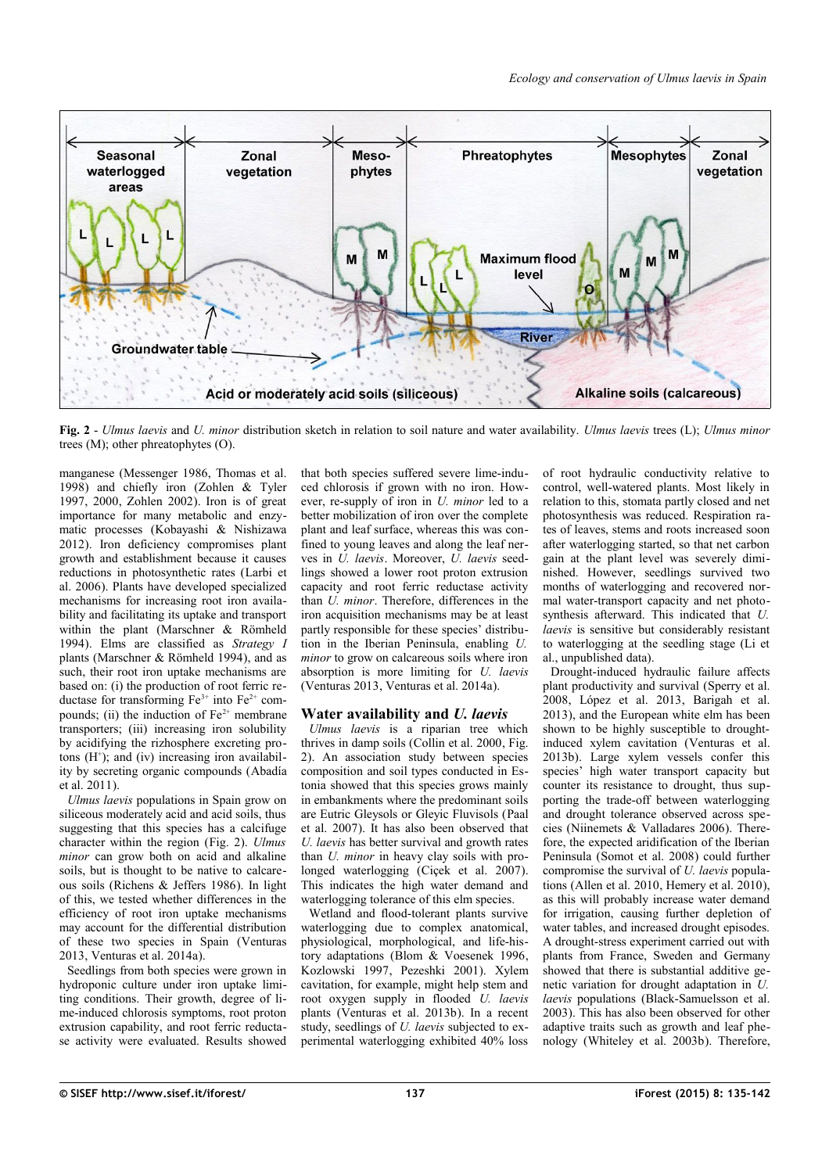

<span id="page-2-0"></span>**Fig. 2** - *Ulmus laevis* and *U. minor* distribution sketch in relation to soil nature and water availability. *Ulmus laevis* trees (L); *Ulmus minor* trees (M); other phreatophytes (O).

manganese (Messenger 1986, Thomas et al. 1998) and chiefly iron (Zohlen & Tyler 1997, 2000, Zohlen 2002). Iron is of great importance for many metabolic and enzymatic processes (Kobayashi & Nishizawa 2012). Iron deficiency compromises plant growth and establishment because it causes reductions in photosynthetic rates (Larbi et al. 2006). Plants have developed specialized mechanisms for increasing root iron availability and facilitating its uptake and transport within the plant (Marschner & Römheld 1994). Elms are classified as *Strategy I* plants (Marschner & Römheld 1994), and as such, their root iron uptake mechanisms are based on: (i) the production of root ferric reductase for transforming  $Fe^{3+}$  into  $Fe^{2+}$  compounds; (ii) the induction of  $Fe<sup>2+</sup>$  membrane transporters; (iii) increasing iron solubility by acidifying the rizhosphere excreting protons  $(H^+)$ ; and (iv) increasing iron availability by secreting organic compounds (Abadía et al. 2011).

*Ulmus laevis* populations in Spain grow on siliceous moderately acid and acid soils, thus suggesting that this species has a calcifuge character within the region [\(Fig. 2\)](#page-2-0). *Ulmus minor* can grow both on acid and alkaline soils, but is thought to be native to calcareous soils (Richens & Jeffers 1986). In light of this, we tested whether differences in the efficiency of root iron uptake mechanisms may account for the differential distribution of these two species in Spain (Venturas 2013, Venturas et al. 2014a).

Seedlings from both species were grown in hydroponic culture under iron uptake limiting conditions. Their growth, degree of lime-induced chlorosis symptoms, root proton extrusion capability, and root ferric reductase activity were evaluated. Results showed that both species suffered severe lime-induced chlorosis if grown with no iron. However, re-supply of iron in *U. minor* led to a better mobilization of iron over the complete plant and leaf surface, whereas this was confined to young leaves and along the leaf nerves in *U. laevis*. Moreover, *U. laevis* seedlings showed a lower root proton extrusion capacity and root ferric reductase activity than *U. minor*. Therefore, differences in the iron acquisition mechanisms may be at least partly responsible for these species' distribution in the Iberian Peninsula, enabling *U. minor* to grow on calcareous soils where iron absorption is more limiting for *U. laevis* (Venturas 2013, Venturas et al. 2014a).

#### **Water availability and** *U. laevis*

*Ulmus laevis* is a riparian tree which thrives in damp soils (Collin et al. 2000, [Fig.](#page-2-0) [2\)](#page-2-0). An association study between species composition and soil types conducted in Estonia showed that this species grows mainly in embankments where the predominant soils are Eutric Gleysols or Gleyic Fluvisols (Paal et al. 2007). It has also been observed that *U. laevis* has better survival and growth rates than *U. minor* in heavy clay soils with prolonged waterlogging (Ciçek et al. 2007). This indicates the high water demand and waterlogging tolerance of this elm species.

Wetland and flood-tolerant plants survive waterlogging due to complex anatomical, physiological, morphological, and life-history adaptations (Blom & Voesenek 1996, Kozlowski 1997, Pezeshki 2001). Xylem cavitation, for example, might help stem and root oxygen supply in flooded *U. laevis* plants (Venturas et al. 2013b). In a recent study, seedlings of *U. laevis* subjected to experimental waterlogging exhibited 40% loss

of root hydraulic conductivity relative to control, well-watered plants. Most likely in relation to this, stomata partly closed and net photosynthesis was reduced. Respiration rates of leaves, stems and roots increased soon after waterlogging started, so that net carbon gain at the plant level was severely diminished. However, seedlings survived two months of waterlogging and recovered normal water-transport capacity and net photosynthesis afterward. This indicated that *U. laevis* is sensitive but considerably resistant to waterlogging at the seedling stage (Li et al., unpublished data).

Drought-induced hydraulic failure affects plant productivity and survival (Sperry et al. 2008, López et al. 2013, Barigah et al. 2013), and the European white elm has been shown to be highly susceptible to droughtinduced xylem cavitation (Venturas et al. 2013b). Large xylem vessels confer this species' high water transport capacity but counter its resistance to drought, thus supporting the trade-off between waterlogging and drought tolerance observed across species (Niinemets & Valladares 2006). Therefore, the expected aridification of the Iberian Peninsula (Somot et al. 2008) could further compromise the survival of *U. laevis* populations (Allen et al. 2010, Hemery et al. 2010), as this will probably increase water demand for irrigation, causing further depletion of water tables, and increased drought episodes. A drought-stress experiment carried out with plants from France, Sweden and Germany showed that there is substantial additive genetic variation for drought adaptation in *U. laevis* populations (Black-Samuelsson et al. 2003). This has also been observed for other adaptive traits such as growth and leaf phenology (Whiteley et al. 2003b). Therefore,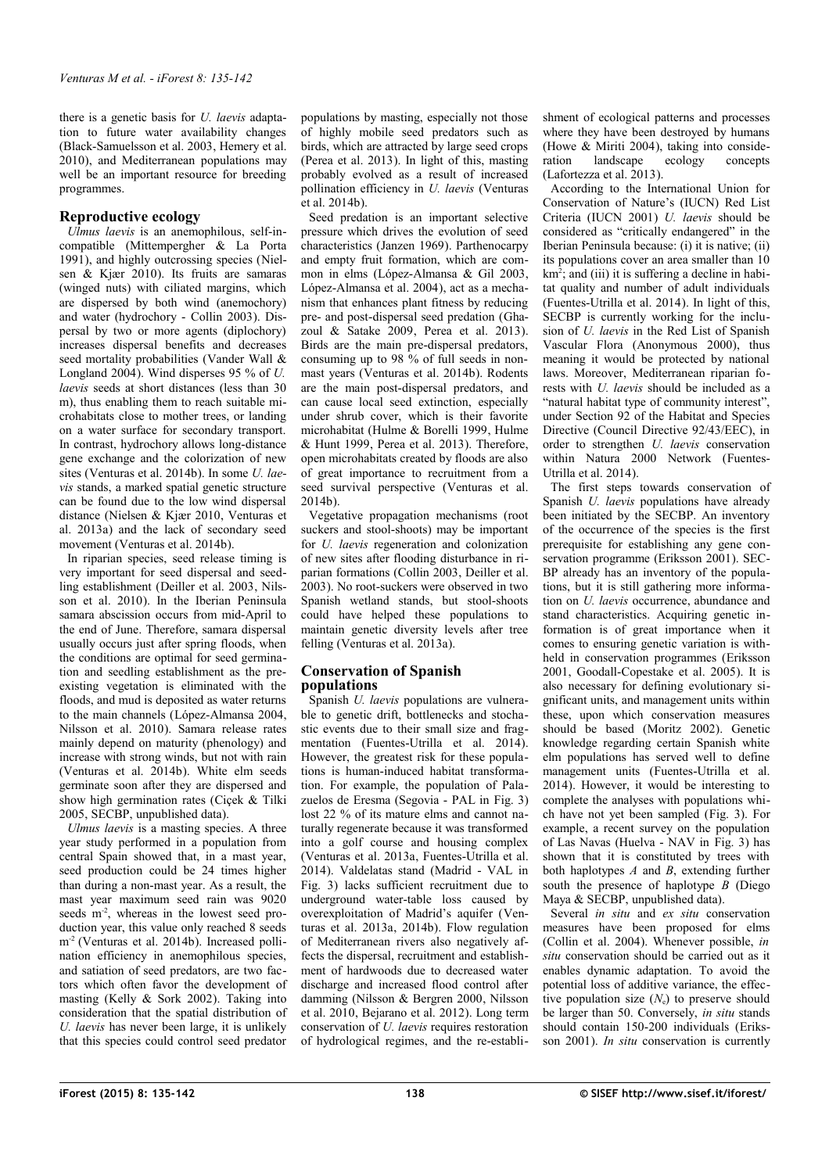there is a genetic basis for *U. laevis* adaptation to future water availability changes (Black-Samuelsson et al. 2003, Hemery et al. 2010), and Mediterranean populations may well be an important resource for breeding programmes.

## **Reproductive ecology**

*Ulmus laevis* is an anemophilous, self-incompatible (Mittempergher & La Porta 1991), and highly outcrossing species (Nielsen & Kjær 2010). Its fruits are samaras (winged nuts) with ciliated margins, which are dispersed by both wind (anemochory) and water (hydrochory - Collin 2003). Dispersal by two or more agents (diplochory) increases dispersal benefits and decreases seed mortality probabilities (Vander Wall & Longland 2004). Wind disperses 95 % of *U. laevis* seeds at short distances (less than 30 m), thus enabling them to reach suitable microhabitats close to mother trees, or landing on a water surface for secondary transport. In contrast, hydrochory allows long-distance gene exchange and the colorization of new sites (Venturas et al. 2014b). In some *U. laevis* stands, a marked spatial genetic structure can be found due to the low wind dispersal distance (Nielsen & Kjær 2010, Venturas et al. 2013a) and the lack of secondary seed movement (Venturas et al. 2014b).

In riparian species, seed release timing is very important for seed dispersal and seedling establishment (Deiller et al. 2003, Nilsson et al. 2010). In the Iberian Peninsula samara abscission occurs from mid-April to the end of June. Therefore, samara dispersal usually occurs just after spring floods, when the conditions are optimal for seed germination and seedling establishment as the preexisting vegetation is eliminated with the floods, and mud is deposited as water returns to the main channels (López-Almansa 2004, Nilsson et al. 2010). Samara release rates mainly depend on maturity (phenology) and increase with strong winds, but not with rain (Venturas et al. 2014b). White elm seeds germinate soon after they are dispersed and show high germination rates (Ciçek & Tilki 2005, SECBP, unpublished data).

*Ulmus laevis* is a masting species. A three year study performed in a population from central Spain showed that, in a mast year, seed production could be 24 times higher than during a non-mast year. As a result, the mast year maximum seed rain was 9020 seeds  $m<sup>2</sup>$ , whereas in the lowest seed production year, this value only reached 8 seeds m<sup>-2</sup> (Venturas et al. 2014b). Increased pollination efficiency in anemophilous species, and satiation of seed predators, are two factors which often favor the development of masting (Kelly & Sork 2002). Taking into consideration that the spatial distribution of *U. laevis* has never been large, it is unlikely that this species could control seed predator populations by masting, especially not those of highly mobile seed predators such as birds, which are attracted by large seed crops (Perea et al. 2013). In light of this, masting probably evolved as a result of increased pollination efficiency in *U. laevis* (Venturas et al. 2014b).

Seed predation is an important selective pressure which drives the evolution of seed characteristics (Janzen 1969). Parthenocarpy and empty fruit formation, which are common in elms (López-Almansa & Gil 2003, López-Almansa et al. 2004), act as a mechanism that enhances plant fitness by reducing pre- and post-dispersal seed predation (Ghazoul & Satake 2009, Perea et al. 2013). Birds are the main pre-dispersal predators, consuming up to 98 % of full seeds in nonmast years (Venturas et al. 2014b). Rodents are the main post-dispersal predators, and can cause local seed extinction, especially under shrub cover, which is their favorite microhabitat (Hulme & Borelli 1999, Hulme & Hunt 1999, Perea et al. 2013). Therefore, open microhabitats created by floods are also of great importance to recruitment from a seed survival perspective (Venturas et al. 2014b).

Vegetative propagation mechanisms (root suckers and stool-shoots) may be important for *U. laevis* regeneration and colonization of new sites after flooding disturbance in riparian formations (Collin 2003, Deiller et al. 2003). No root-suckers were observed in two Spanish wetland stands, but stool-shoots could have helped these populations to maintain genetic diversity levels after tree felling (Venturas et al. 2013a).

### **Conservation of Spanish populations**

Spanish *U. laevis* populations are vulnerable to genetic drift, bottlenecks and stochastic events due to their small size and fragmentation (Fuentes-Utrilla et al. 2014). However, the greatest risk for these populations is human-induced habitat transformation. For example, the population of Palazuelos de Eresma (Segovia - PAL in [Fig. 3\)](#page-4-0) lost 22 % of its mature elms and cannot naturally regenerate because it was transformed into a golf course and housing complex (Venturas et al. 2013a, Fuentes-Utrilla et al. 2014). Valdelatas stand (Madrid - VAL in [Fig. 3\)](#page-4-0) lacks sufficient recruitment due to underground water-table loss caused by overexploitation of Madrid's aquifer (Venturas et al. 2013a, 2014b). Flow regulation of Mediterranean rivers also negatively affects the dispersal, recruitment and establishment of hardwoods due to decreased water discharge and increased flood control after damming (Nilsson & Bergren 2000, Nilsson et al. 2010, Bejarano et al. 2012). Long term conservation of *U. laevis* requires restoration of hydrological regimes, and the re-establishment of ecological patterns and processes where they have been destroyed by humans (Howe & Miriti 2004), taking into consideration landscape ecology concepts (Lafortezza et al. 2013).

According to the International Union for Conservation of Nature's (IUCN) Red List Criteria (IUCN 2001) *U. laevis* should be considered as "critically endangered" in the Iberian Peninsula because: (i) it is native; (ii) its populations cover an area smaller than 10 km<sup>2</sup>; and (iii) it is suffering a decline in habitat quality and number of adult individuals (Fuentes-Utrilla et al. 2014). In light of this, SECBP is currently working for the inclusion of *U. laevis* in the Red List of Spanish Vascular Flora (Anonymous 2000), thus meaning it would be protected by national laws. Moreover, Mediterranean riparian forests with *U. laevis* should be included as a "natural habitat type of community interest", under Section 92 of the Habitat and Species Directive (Council Directive 92/43/EEC), in order to strengthen *U. laevis* conservation within Natura 2000 Network (Fuentes-Utrilla et al. 2014).

The first steps towards conservation of Spanish *U. laevis* populations have already been initiated by the SECBP. An inventory of the occurrence of the species is the first prerequisite for establishing any gene conservation programme (Eriksson 2001). SEC-BP already has an inventory of the populations, but it is still gathering more information on *U. laevis* occurrence, abundance and stand characteristics. Acquiring genetic information is of great importance when it comes to ensuring genetic variation is withheld in conservation programmes (Eriksson 2001, Goodall-Copestake et al. 2005). It is also necessary for defining evolutionary significant units, and management units within these, upon which conservation measures should be based (Moritz 2002). Genetic knowledge regarding certain Spanish white elm populations has served well to define management units (Fuentes-Utrilla et al. 2014). However, it would be interesting to complete the analyses with populations which have not yet been sampled [\(Fig. 3\)](#page-4-0). For example, a recent survey on the population of Las Navas (Huelva - NAV in [Fig. 3\)](#page-4-0) has shown that it is constituted by trees with both haplotypes *A* and *B*, extending further south the presence of haplotype  $\overline{B}$  (Diego) Maya & SECBP, unpublished data).

Several *in situ* and *ex situ* conservation measures have been proposed for elms (Collin et al. 2004). Whenever possible, *in situ* conservation should be carried out as it enables dynamic adaptation. To avoid the potential loss of additive variance, the effective population size  $(N_e)$  to preserve should be larger than 50. Conversely, *in situ* stands should contain 150-200 individuals (Eriksson 2001). *In situ* conservation is currently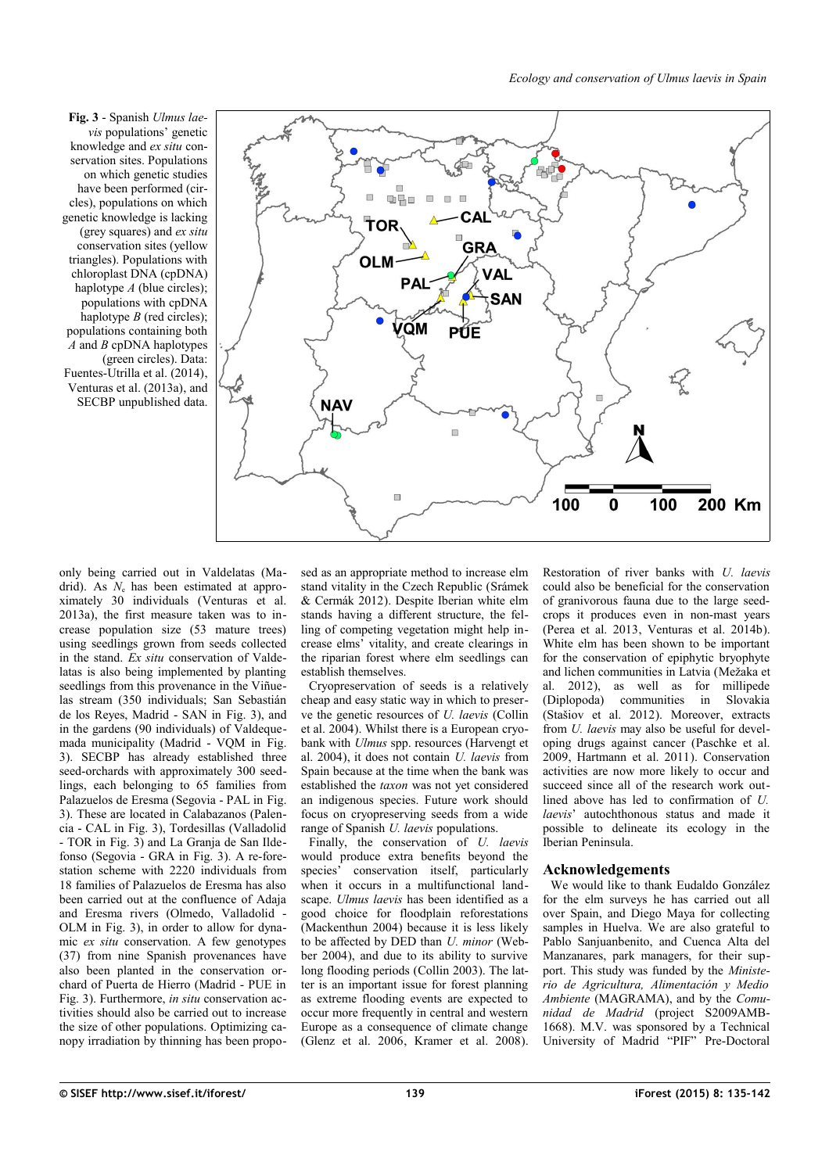*Ecology and conservation of Ulmus laevis in Spain*

<span id="page-4-0"></span>**Fig. 3** - Spanish *Ulmus laevis* populations' genetic knowledge and *ex situ* conservation sites. Populations on which genetic studies have been performed (circles), populations on which genetic knowledge is lacking (grey squares) and *ex situ* conservation sites (yellow triangles). Populations with chloroplast DNA (cpDNA) haplotype *A* (blue circles); populations with cpDNA haplotype  $B$  (red circles); populations containing both *A* and *B* cpDNA haplotypes (green circles). Data: Fuentes-Utrilla et al. (2014), Venturas et al. (2013a), and SECBP unpublished data.



only being carried out in Valdelatas (Madrid). As  $N_e$  has been estimated at approximately 30 individuals (Venturas et al. 2013a), the first measure taken was to increase population size (53 mature trees) using seedlings grown from seeds collected in the stand. *Ex situ* conservation of Valdelatas is also being implemented by planting seedlings from this provenance in the Viñuelas stream (350 individuals; San Sebastián de los Reyes, Madrid - SAN in [Fig. 3\)](#page-4-0), and in the gardens (90 individuals) of Valdequemada municipality (Madrid - VQM in [Fig.](#page-4-0) [3\)](#page-4-0). SECBP has already established three seed-orchards with approximately 300 seedlings, each belonging to 65 families from Palazuelos de Eresma (Segovia - PAL in [Fig.](#page-4-0) [3\)](#page-4-0). These are located in Calabazanos (Palencia - CAL in [Fig. 3\)](#page-4-0), Tordesillas (Valladolid - TOR in [Fig. 3\)](#page-4-0) and La Granja de San Ildefonso (Segovia - GRA in [Fig. 3\)](#page-4-0). A re-forestation scheme with 2220 individuals from 18 families of Palazuelos de Eresma has also been carried out at the confluence of Adaja and Eresma rivers (Olmedo, Valladolid - OLM in [Fig. 3\)](#page-4-0), in order to allow for dynamic *ex situ* conservation. A few genotypes (37) from nine Spanish provenances have also been planted in the conservation orchard of Puerta de Hierro (Madrid - PUE in [Fig. 3\)](#page-4-0). Furthermore, *in situ* conservation activities should also be carried out to increase the size of other populations. Optimizing canopy irradiation by thinning has been proposed as an appropriate method to increase elm stand vitality in the Czech Republic (Srámek & Cermák 2012). Despite Iberian white elm stands having a different structure, the felling of competing vegetation might help increase elms' vitality, and create clearings in the riparian forest where elm seedlings can establish themselves.

Cryopreservation of seeds is a relatively cheap and easy static way in which to preserve the genetic resources of *U. laevis* (Collin et al. 2004). Whilst there is a European cryobank with *Ulmus* spp. resources (Harvengt et al. 2004), it does not contain *U. laevis* from Spain because at the time when the bank was established the *taxon* was not yet considered an indigenous species. Future work should focus on cryopreserving seeds from a wide range of Spanish *U. laevis* populations.

Finally, the conservation of *U. laevis* would produce extra benefits beyond the species' conservation itself, particularly when it occurs in a multifunctional landscape. *Ulmus laevis* has been identified as a good choice for floodplain reforestations (Mackenthun 2004) because it is less likely to be affected by DED than *U. minor* (Webber 2004), and due to its ability to survive long flooding periods (Collin 2003). The latter is an important issue for forest planning as extreme flooding events are expected to occur more frequently in central and western Europe as a consequence of climate change (Glenz et al.  $2006$ , Kramer et al.  $2008$ ).

Restoration of river banks with *U. laevis* could also be beneficial for the conservation of granivorous fauna due to the large seedcrops it produces even in non-mast years (Perea et al. 2013, Venturas et al. 2014b). White elm has been shown to be important for the conservation of epiphytic bryophyte and lichen communities in Latvia (Mežaka et al. 2012), as well as for millipede (Diplopoda) communities in Slovakia (Stašiov et al. 2012). Moreover, extracts from *U. laevis* may also be useful for developing drugs against cancer (Paschke et al. 2009, Hartmann et al. 2011). Conservation activities are now more likely to occur and succeed since all of the research work outlined above has led to confirmation of *U. laevis*' autochthonous status and made it possible to delineate its ecology in the Iberian Peninsula.

## **Acknowledgements**

We would like to thank Eudaldo González for the elm surveys he has carried out all over Spain, and Diego Maya for collecting samples in Huelva. We are also grateful to Pablo Sanjuanbenito, and Cuenca Alta del Manzanares, park managers, for their support. This study was funded by the *Ministerio de Agricultura, Alimentación y Medio Ambiente* (MAGRAMA), and by the *Comunidad de Madrid* (project S2009AMB-1668). M.V. was sponsored by a Technical University of Madrid "PIF" Pre-Doctoral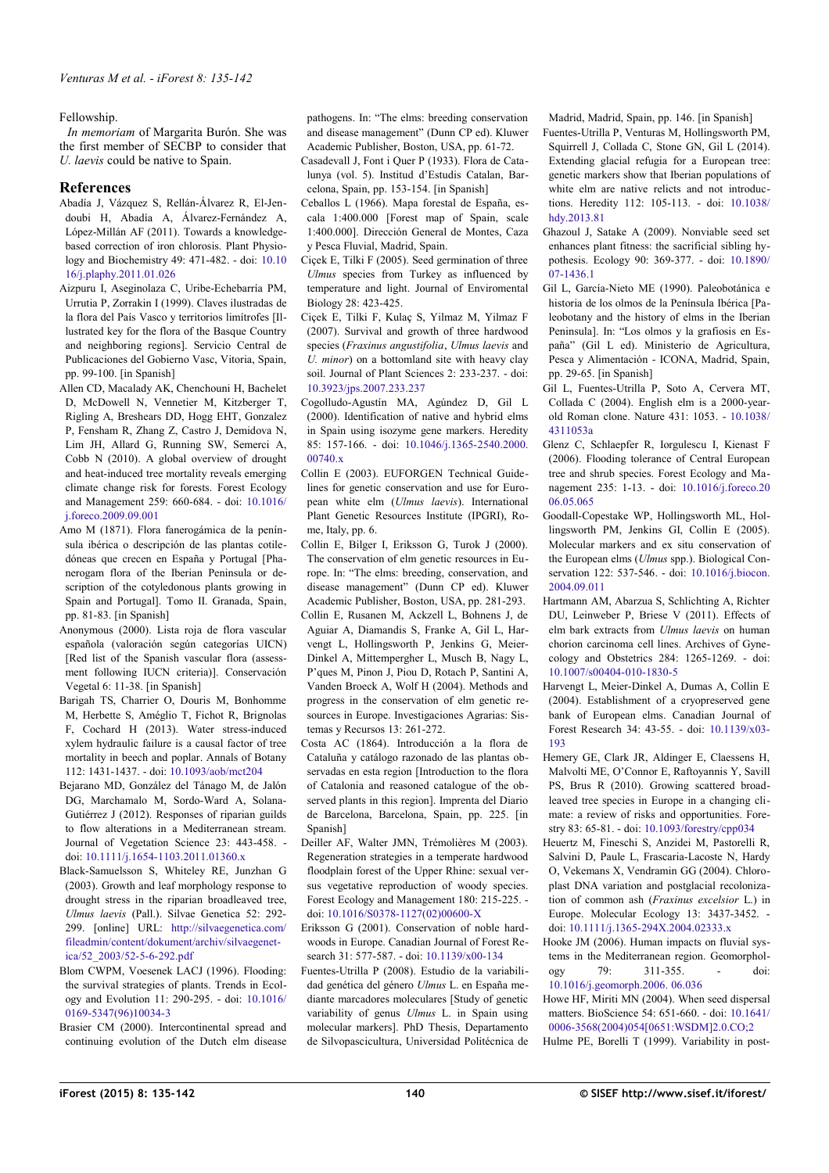Fellowship.

*In memoriam* of Margarita Burón. She was the first member of SECBP to consider that *U. laevis* could be native to Spain.

## **References**

- Abadía J, Vázquez S, Rellán-Álvarez R, El-Jendoubi H, Abadía A, Álvarez-Fernández A, López-Millán AF (2011). Towards a knowledgebased correction of iron chlorosis. Plant Physiology and Biochemistry 49: 471-482. - doi: [10.10](http://dx.doi.org/10.1016/j.plaphy.2011.01.026) [16/j.plaphy.2011.01.026](http://dx.doi.org/10.1016/j.plaphy.2011.01.026)
- Aizpuru I, Aseginolaza C, Uribe-Echebarría PM, Urrutia P, Zorrakin I (1999). Claves ilustradas de la flora del País Vasco y territorios limítrofes [Illustrated key for the flora of the Basque Country and neighboring regions]. Servicio Central de Publicaciones del Gobierno Vasc, Vitoria, Spain, pp. 99-100. [in Spanish]
- Allen CD, Macalady AK, Chenchouni H, Bachelet D, McDowell N, Vennetier M, Kitzberger T, Rigling A, Breshears DD, Hogg EHT, Gonzalez P, Fensham R, Zhang Z, Castro J, Demidova N, Lim JH, Allard G, Running SW, Semerci A, Cobb N (2010). A global overview of drought and heat-induced tree mortality reveals emerging climate change risk for forests. Forest Ecology and Management 259: 660-684. - doi: [10.1016/](http://dx.doi.org/10.1016/j.foreco.2009.09.001) [j.foreco.2009.09.001](http://dx.doi.org/10.1016/j.foreco.2009.09.001)
- Amo M (1871). Flora fanerogámica de la península ibérica o descripción de las plantas cotiledóneas que crecen en España y Portugal [Phanerogam flora of the Iberian Peninsula or description of the cotyledonous plants growing in Spain and Portugal]. Tomo II. Granada, Spain, pp. 81-83. [in Spanish]
- Anonymous (2000). Lista roja de flora vascular española (valoración según categorías UICN) [Red list of the Spanish vascular flora (assessment following IUCN criteria)]. Conservación Vegetal 6: 11-38. [in Spanish]
- Barigah TS, Charrier O, Douris M, Bonhomme M, Herbette S, Améglio T, Fichot R, Brignolas F, Cochard H (2013). Water stress-induced xylem hydraulic failure is a causal factor of tree mortality in beech and poplar. Annals of Botany 112: 1431-1437. - doi: [10.1093/aob/mct204](http://dx.doi.org/10.1093/aob/mct204)
- Bejarano MD, González del Tánago M, de Jalón DG, Marchamalo M, Sordo-Ward A, Solana-Gutiérrez J (2012). Responses of riparian guilds to flow alterations in a Mediterranean stream. Journal of Vegetation Science 23: 443-458. doi: [10.1111/j.1654-1103.2011.01360.x](http://dx.doi.org/10.1111/j.1654-1103.2011.01360.x)
- Black-Samuelsson S, Whiteley RE, Junzhan G (2003). Growth and leaf morphology response to drought stress in the riparian broadleaved tree, *Ulmus laevis* (Pall.). Silvae Genetica 52: 292- 299. [online] URL: [http://silvaegenetica.com/](http://silvaegenetica.com/fileadmin/content/dokument/archiv/silvaegenetica/52_2003/52-5-6-292.pdf) [fileadmin/content/dokument/archiv/silvaegenet](http://silvaegenetica.com/fileadmin/content/dokument/archiv/silvaegenetica/52_2003/52-5-6-292.pdf)[ica/52\\_2003/52-5-6-292.pdf](http://silvaegenetica.com/fileadmin/content/dokument/archiv/silvaegenetica/52_2003/52-5-6-292.pdf)
- Blom CWPM, Voesenek LACJ (1996). Flooding: the survival strategies of plants. Trends in Ecology and Evolution 11: 290-295. - doi: [10.1016/](http://dx.doi.org/10.1016/0169-5347(96)10034-3) [0169-5347\(96\)10034-3](http://dx.doi.org/10.1016/0169-5347(96)10034-3)
- Brasier CM (2000). Intercontinental spread and continuing evolution of the Dutch elm disease

pathogens. In: "The elms: breeding conservation and disease management" (Dunn CP ed). Kluwer Academic Publisher, Boston, USA, pp. 61-72.

- Casadevall J, Font i Quer P (1933). Flora de Catalunya (vol. 5). Institud d'Estudis Catalan, Barcelona, Spain, pp. 153-154. [in Spanish]
- Ceballos L (1966). Mapa forestal de España, escala 1:400.000 [Forest map of Spain, scale 1:400.000]. Dirección General de Montes, Caza y Pesca Fluvial, Madrid, Spain.
- Ciçek E, Tilki F (2005). Seed germination of three *Ulmus* species from Turkey as influenced by temperature and light. Journal of Enviromental Biology 28: 423-425.
- Ciçek E, Tilki F, Kulaç S, Yilmaz M, Yilmaz F (2007). Survival and growth of three hardwood species (*Fraxinus angustifolia*, *Ulmus laevis* and *U. minor*) on a bottomland site with heavy clay soil. Journal of Plant Sciences 2: 233-237. - doi: [10.3923/jps.2007.233.237](http://dx.doi.org/10.3923/jps.2007.233.237)
- Cogolludo-Agustín MA, Agúndez D, Gil L (2000). Identification of native and hybrid elms in Spain using isozyme gene markers. Heredity 85: 157-166. - doi: [10.1046/j.1365-2540.2000.](http://dx.doi.org/10.1046/j.1365-2540.2000.00740.x) 00740 x
- Collin E (2003). EUFORGEN Technical Guidelines for genetic conservation and use for European white elm (*Ulmus laevis*). International Plant Genetic Resources Institute (IPGRI), Rome, Italy, pp. 6.
- Collin E, Bilger I, Eriksson G, Turok J (2000). The conservation of elm genetic resources in Europe. In: "The elms: breeding, conservation, and disease management" (Dunn CP ed). Kluwer Academic Publisher, Boston, USA, pp. 281-293.
- Collin E, Rusanen M, Ackzell L, Bohnens J, de Aguiar A, Diamandis S, Franke A, Gil L, Harvengt L, Hollingsworth P, Jenkins G, Meier-Dinkel A, Mittempergher L, Musch B, Nagy L, P'ques M, Pinon J, Piou D, Rotach P, Santini A, Vanden Broeck A, Wolf H (2004). Methods and progress in the conservation of elm genetic resources in Europe. Investigaciones Agrarias: Sistemas y Recursos 13: 261-272.
- Costa AC (1864). Introducción a la flora de Cataluña y catálogo razonado de las plantas observadas en esta region [Introduction to the flora] of Catalonia and reasoned catalogue of the observed plants in this region]. Imprenta del Diario de Barcelona, Barcelona, Spain, pp. 225. [in Spanish]
- Deiller AF, Walter JMN, Trémolières M (2003). Regeneration strategies in a temperate hardwood floodplain forest of the Upper Rhine: sexual versus vegetative reproduction of woody species. Forest Ecology and Management 180: 215-225. doi: [10.1016/S0378-1127\(02\)00600-X](http://dx.doi.org/10.1016/S0378-1127(02)00600-X)
- Eriksson G (2001). Conservation of noble hardwoods in Europe. Canadian Journal of Forest Research 31: 577-587. - doi: [10.1139/x00-134](http://dx.doi.org/10.1139/x00-134)
- Fuentes-Utrilla P (2008). Estudio de la variabilidad genética del género *Ulmus* L. en España mediante marcadores moleculares [Study of genetic variability of genus *Ulmus* L. in Spain using molecular markers]. PhD Thesis, Departamento de Silvopascicultura, Universidad Politécnica de

Madrid, Madrid, Spain, pp. 146. [in Spanish] Fuentes-Utrilla P, Venturas M, Hollingsworth PM, Squirrell J, Collada C, Stone GN, Gil L (2014). Extending glacial refugia for a European tree: genetic markers show that Iberian populations of white elm are native relicts and not introductions. Heredity 112: 105-113. - doi: [10.1038/](http://dx.doi.org/10.1038/hdy.2013.81) [hdy.2013.81](http://dx.doi.org/10.1038/hdy.2013.81)

- Ghazoul J, Satake A (2009). Nonviable seed set enhances plant fitness: the sacrificial sibling hypothesis. Ecology 90: 369-377. - doi: [10.1890/](http://dx.doi.org/10.1890/07-1436.1) [07-1436.1](http://dx.doi.org/10.1890/07-1436.1)
- Gil L, García-Nieto ME (1990). Paleobotánica e historia de los olmos de la Península Ibérica [Paleobotany and the history of elms in the Iberian Peninsula]. In: "Los olmos y la grafiosis en España" (Gil L ed). Ministerio de Agricultura, Pesca y Alimentación - ICONA, Madrid, Spain, pp. 29-65. [in Spanish]
- Gil L, Fuentes-Utrilla P, Soto A, Cervera MT, Collada C (2004). English elm is a 2000-yearold Roman clone. Nature 431: 1053. - [10.1038/](http://dx.doi.org/10.1038/4311053a) [4311053a](http://dx.doi.org/10.1038/4311053a)
- Glenz C, Schlaepfer R, Iorgulescu I, Kienast F (2006). Flooding tolerance of Central European tree and shrub species. Forest Ecology and Management 235: 1-13. - doi: [10.1016/j.foreco.20](http://dx.doi.org/10.1016/j.foreco.2006.05.065) [06.05.065](http://dx.doi.org/10.1016/j.foreco.2006.05.065)
- Goodall-Copestake WP, Hollingsworth ML, Hollingsworth PM, Jenkins GI, Collin E (2005). Molecular markers and ex situ conservation of the European elms (*Ulmus* spp.). Biological Conservation 122: 537-546. - doi: [10.1016/j.biocon.](http://dx.doi.org/10.1016/j.biocon.2004.09.011) [2004.09.011](http://dx.doi.org/10.1016/j.biocon.2004.09.011)
- Hartmann AM, Abarzua S, Schlichting A, Richter DU, Leinweber P, Briese V (2011). Effects of elm bark extracts from *Ulmus laevis* on human chorion carcinoma cell lines. Archives of Gynecology and Obstetrics 284: 1265-1269. - doi: [10.1007/s00404-010-1830-5](http://dx.doi.org/10.1007/s00404-010-1830-5)
- Harvengt L, Meier-Dinkel A, Dumas A, Collin E (2004). Establishment of a cryopreserved gene bank of European elms. Canadian Journal of Forest Research 34: 43-55. - doi: [10.1139/x03-](http://dx.doi.org/10.1139/x03-193) [193](http://dx.doi.org/10.1139/x03-193)
- Hemery GE, Clark JR, Aldinger E, Claessens H, Malvolti ME, O'Connor E, Raftoyannis Y, Savill PS, Brus R (2010). Growing scattered broadleaved tree species in Europe in a changing climate: a review of risks and opportunities. Forestry 83: 65-81. - doi: [10.1093/forestry/cpp034](http://dx.doi.org/10.1093/forestry/cpp034)
- Heuertz M, Fineschi S, Anzidei M, Pastorelli R, Salvini D, Paule L, Frascaria-Lacoste N, Hardy O, Vekemans X, Vendramin GG (2004). Chloroplast DNA variation and postglacial recolonization of common ash (*Fraxinus excelsior* L.) in Europe. Molecular Ecology 13: 3437-3452. doi: [10.1111/j.1365-294X.2004.02333.x](http://dx.doi.org/10.1111/j.1365-294X.2004.02333.x)
- Hooke JM (2006). Human impacts on fluvial systems in the Mediterranean region. Geomorphology 79: 311-355. - doi: [10.1016/j.geomorph.2006. 06.036](http://dx.doi.org/10.1016/j.geomorph.2006.06.036)
- Howe HF, Miriti MN (2004). When seed dispersal matters. BioScience 54: 651-660. - doi: [10.1641/](http://dx.doi.org/10.1641/0006-3568(2004)054%5B0651:WSDM%5D2.0.CO;2) [0006-3568\(2004\)054\[0651:WSDM\]2.0.CO;2](http://dx.doi.org/10.1641/0006-3568(2004)054%5B0651:WSDM%5D2.0.CO;2) Hulme PE, Borelli T (1999). Variability in post-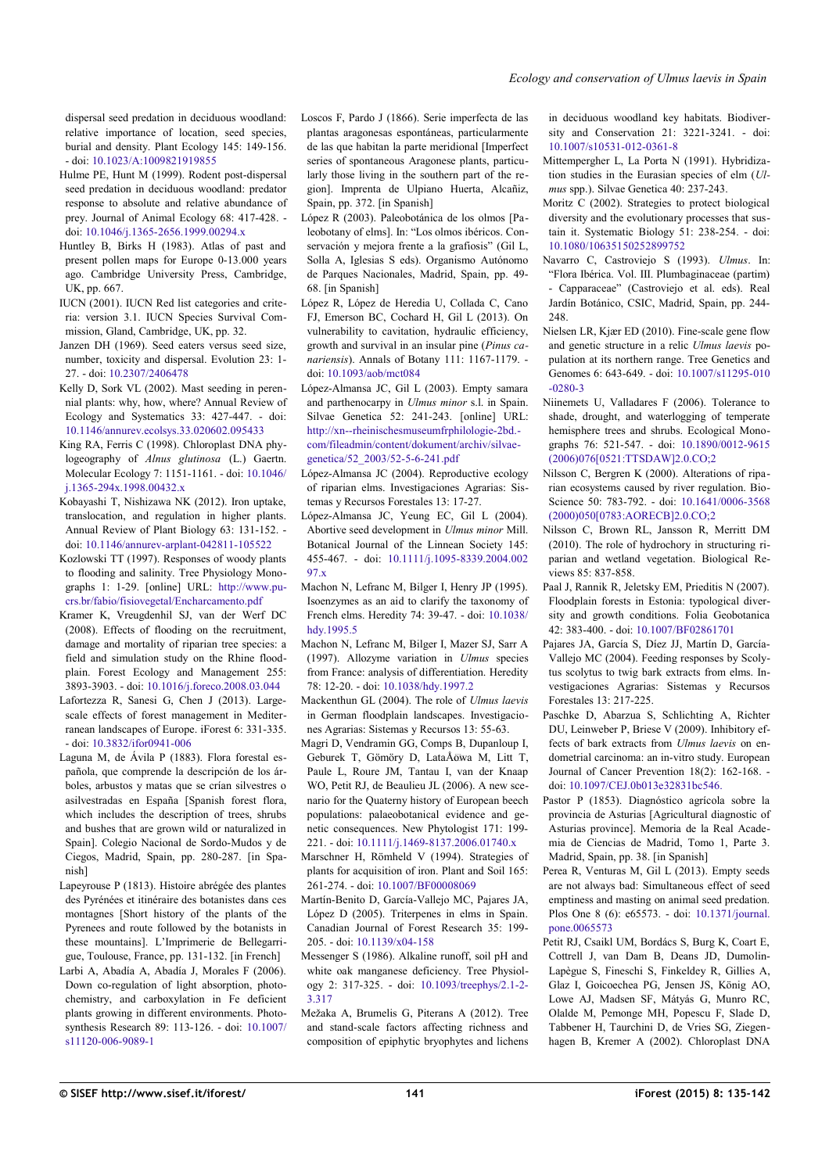dispersal seed predation in deciduous woodland: relative importance of location, seed species, burial and density. Plant Ecology 145: 149-156. - doi: [10.1023/A:1009821919855](http://dx.doi.org/10.1023/A:1009821919855)

- Hulme PE, Hunt M (1999). Rodent post-dispersal seed predation in deciduous woodland: predator response to absolute and relative abundance of prey. Journal of Animal Ecology 68: 417-428. doi: [10.1046/j.1365-2656.1999.00294.x](http://dx.doi.org/10.1046/j.1365-2656.1999.00294.x)
- Huntley B, Birks H (1983). Atlas of past and present pollen maps for Europe 0-13.000 years ago. Cambridge University Press, Cambridge, UK, pp. 667.
- IUCN (2001). IUCN Red list categories and criteria: version 3.1. IUCN Species Survival Commission, Gland, Cambridge, UK, pp. 32.
- Janzen DH (1969). Seed eaters versus seed size, number, toxicity and dispersal. Evolution 23: 1- 27. - doi: [10.2307/2406478](http://dx.doi.org/10.2307/2406478)
- Kelly D, Sork VL (2002). Mast seeding in perennial plants: why, how, where? Annual Review of Ecology and Systematics 33: 427-447. - doi: [10.1146/annurev.ecolsys.33.020602.095433](http://dx.doi.org/10.1146/annurev.ecolsys.33.020602.095433)
- King RA, Ferris C (1998). Chloroplast DNA phylogeography of *Alnus glutinosa* (L.) Gaertn. Molecular Ecology 7: 1151-1161. - doi: [10.1046/](http://dx.doi.org/10.1046/j.1365-294x.1998.00432.x) [j.1365-294x.1998.00432.x](http://dx.doi.org/10.1046/j.1365-294x.1998.00432.x)
- Kobayashi T, Nishizawa NK (2012). Iron uptake, translocation, and regulation in higher plants. Annual Review of Plant Biology 63: 131-152. doi: [10.1146/annurev-arplant-042811-105522](http://dx.doi.org/10.1146/annurev-arplant-042811-105522)
- Kozlowski TT (1997). Responses of woody plants to flooding and salinity. Tree Physiology Monographs 1: 1-29. [online] URL: [http://www.pu](http://www.pucrs.br/fabio/fisiovegetal/Encharcamento.pdf)[crs.br/fabio/fisiovegetal/Encharcamento.pdf](http://www.pucrs.br/fabio/fisiovegetal/Encharcamento.pdf)
- Kramer K, Vreugdenhil SJ, van der Werf DC (2008). Effects of flooding on the recruitment, damage and mortality of riparian tree species: a field and simulation study on the Rhine floodplain. Forest Ecology and Management 255: 3893-3903. - doi: [10.1016/j.foreco.2008.03.044](http://dx.doi.org/10.1016/j.foreco.2008.03.044)
- Lafortezza R, Sanesi G, Chen J (2013). Largescale effects of forest management in Mediterranean landscapes of Europe. iForest 6: 331-335. - doi: [10.3832/ifor0941-006](http://dx.doi.org/10.3832/ifor0941-006)
- Laguna M, de Ávila P (1883). Flora forestal española, que comprende la descripción de los árboles, arbustos y matas que se crían silvestres o asilvestradas en España [Spanish forest flora, which includes the description of trees, shrubs and bushes that are grown wild or naturalized in Spain]. Colegio Nacional de Sordo-Mudos y de Ciegos, Madrid, Spain, pp. 280-287. [in Spanish]
- Lapeyrouse P (1813). Histoire abrégée des plantes des Pyrénées et itinéraire des botanistes dans ces montagnes [Short history of the plants of the Pyrenees and route followed by the botanists in these mountains]. L'Imprimerie de Bellegarrigue, Toulouse, France, pp. 131-132. [in French]
- Larbi A, Abadía A, Abadía J, Morales F (2006). Down co-regulation of light absorption, photochemistry, and carboxylation in Fe deficient plants growing in different environments. Photosynthesis Research 89: 113-126. - doi: [10.1007/](http://dx.doi.org/10.1007/s11120-006-9089-1) [s11120-006-9089-1](http://dx.doi.org/10.1007/s11120-006-9089-1)
- Loscos F, Pardo J (1866). Serie imperfecta de las plantas aragonesas espontáneas, particularmente de las que habitan la parte meridional [Imperfect series of spontaneous Aragonese plants, particularly those living in the southern part of the region]. Imprenta de Ulpiano Huerta, Alcañiz, Spain, pp. 372. [in Spanish]
- López R (2003). Paleobotánica de los olmos [Paleobotany of elms]. In: "Los olmos ibéricos. Conservación y mejora frente a la grafiosis" (Gil L, Solla A, Iglesias S eds). Organismo Autónomo de Parques Nacionales, Madrid, Spain, pp. 49- 68. [in Spanish]
- López R, López de Heredia U, Collada C, Cano FJ, Emerson BC, Cochard H, Gil L (2013). On vulnerability to cavitation, hydraulic efficiency, growth and survival in an insular pine (*Pinus canariensis*). Annals of Botany 111: 1167-1179. doi: [10.1093/aob/mct084](http://dx.doi.org/10.1093/aob/mct084)
- López-Almansa JC, Gil L (2003). Empty samara and parthenocarpy in *Ulmus minor* s.l. in Spain. Silvae Genetica 52: 241-243. [online] URL: [http://xn--rheinischesmuseumfrphilologie-2bd.](http://xn--rheinischesmuseumfrphilologie-2bd.com/fileadmin/content/dokument/archiv/silvaegenetica/52_2003/52-5-6-241.pdf) [com/fileadmin/content/dokument/archiv/silvae](http://xn--rheinischesmuseumfrphilologie-2bd.com/fileadmin/content/dokument/archiv/silvaegenetica/52_2003/52-5-6-241.pdf)[genetica/52\\_2003/52-5-6-241.pdf](http://xn--rheinischesmuseumfrphilologie-2bd.com/fileadmin/content/dokument/archiv/silvaegenetica/52_2003/52-5-6-241.pdf)
- López-Almansa JC (2004). Reproductive ecology of riparian elms. Investigaciones Agrarias: Sistemas y Recursos Forestales 13: 17-27.
- López-Almansa JC, Yeung EC, Gil L (2004). Abortive seed development in *Ulmus minor* Mill. Botanical Journal of the Linnean Society 145: 455-467. - doi: [10.1111/j.1095-8339.2004.002](http://dx.doi.org/10.1111/j.1095-8339.2004.00297.x) [97.x](http://dx.doi.org/10.1111/j.1095-8339.2004.00297.x)
- Machon N, Lefranc M, Bilger I, Henry JP (1995). Isoenzymes as an aid to clarify the taxonomy of French elms. Heredity 74: 39-47. - doi: [10.1038/](http://dx.doi.org/10.1038/hdy.1995.5) [hdy.1995.5](http://dx.doi.org/10.1038/hdy.1995.5)
- Machon N, Lefranc M, Bilger I, Mazer SJ, Sarr A (1997). Allozyme variation in *Ulmus* species from France: analysis of differentiation. Heredity 78: 12-20. - doi: [10.1038/hdy.1997.2](http://dx.doi.org/10.1038/hdy.1997.2)
- Mackenthun GL (2004). The role of *Ulmus laevis* in German floodplain landscapes. Investigaciones Agrarias: Sistemas y Recursos 13: 55-63.
- Magri D, Vendramin GG, Comps B, Dupanloup I, Geburek T, Gömöry D, LataÅowa M, Litt T, Paule L, Roure JM, Tantau I, van der Knaap WO, Petit RJ, de Beaulieu JL (2006). A new scenario for the Quaterny history of European beech populations: palaeobotanical evidence and genetic consequences. New Phytologist 171: 199- 221. - doi: [10.1111/j.1469-8137.2006.01740.x](http://dx.doi.org/10.1111/j.1469-8137.2006.01740.x)
- Marschner H, Römheld V (1994). Strategies of plants for acquisition of iron. Plant and Soil 165: 261-274. - doi: [10.1007/BF00008069](http://dx.doi.org/10.1007/BF00008069)
- Martín-Benito D, García-Vallejo MC, Pajares JA, López D (2005). Triterpenes in elms in Spain. Canadian Journal of Forest Research 35: 199- 205. - doi: [10.1139/x04-158](http://dx.doi.org/10.1139/x04-158)
- Messenger S (1986). Alkaline runoff, soil pH and white oak manganese deficiency. Tree Physiology 2: 317-325. - doi: [10.1093/treephys/2.1-2-](http://dx.doi.org/10.1093/treephys/2.1-2-3.317) [3.317](http://dx.doi.org/10.1093/treephys/2.1-2-3.317)
- Mežaka A, Brumelis G, Piterans A (2012). Tree and stand-scale factors affecting richness and composition of epiphytic bryophytes and lichens

in deciduous woodland key habitats. Biodiversity and Conservation 21: 3221-3241. - doi: [10.1007/s10531-012-0361-8](http://dx.doi.org/10.1007/s10531-012-0361-8)

- Mittempergher L, La Porta N (1991). Hybridization studies in the Eurasian species of elm (*Ulmus* spp.). Silvae Genetica 40: 237-243.
- Moritz C (2002). Strategies to protect biological diversity and the evolutionary processes that sustain it. Systematic Biology 51: 238-254. - doi: [10.1080/10635150252899752](http://dx.doi.org/10.1080/10635150252899752)
- Navarro C, Castroviejo S (1993). *Ulmus*. In: "Flora Ibérica. Vol. III. Plumbaginaceae (partim) - Capparaceae" (Castroviejo et al. eds). Real Jardín Botánico, CSIC, Madrid, Spain, pp. 244- 248
- Nielsen LR, Kjær ED (2010). Fine-scale gene flow and genetic structure in a relic *Ulmus laevis* population at its northern range. Tree Genetics and Genomes 6: 643-649. - doi: [10.1007/s11295-010](http://dx.doi.org/10.1007/s11295-010-0280-3) [-0280-3](http://dx.doi.org/10.1007/s11295-010-0280-3)
- Niinemets U, Valladares F (2006). Tolerance to shade, drought, and waterlogging of temperate hemisphere trees and shrubs. Ecological Monographs 76: 521-547. - doi: [10.1890/0012-9615](http://dx.doi.org/10.1890/0012-9615(2006)076%5B0521:TTSDAW%5D2.0.CO;2) [\(2006\)076\[0521:TTSDAW\]2.0.CO;2](http://dx.doi.org/10.1890/0012-9615(2006)076%5B0521:TTSDAW%5D2.0.CO;2)
- Nilsson C, Bergren K (2000). Alterations of riparian ecosystems caused by river regulation. Bio-Science 50: 783-792. - doi: [10.1641/0006-3568](http://dx.doi.org/10.1641/0006-3568(2000)050%5B0783:AORECB%5D2.0.CO;2) [\(2000\)050\[0783:AORECB\]2.0.CO;2](http://dx.doi.org/10.1641/0006-3568(2000)050%5B0783:AORECB%5D2.0.CO;2)
- Nilsson C, Brown RL, Jansson R, Merritt DM (2010). The role of hydrochory in structuring riparian and wetland vegetation. Biological Reviews 85: 837-858.
- Paal J, Rannik R, Jeletsky EM, Prieditis N (2007). Floodplain forests in Estonia: typological diversity and growth conditions. Folia Geobotanica 42: 383-400. - doi: [10.1007/BF02861701](http://dx.doi.org/10.1007/BF02861701)
- Pajares JA, García S, Díez JJ, Martín D, García-Vallejo MC (2004). Feeding responses by Scolytus scolytus to twig bark extracts from elms. Investigaciones Agrarias: Sistemas y Recursos Forestales 13: 217-225.
- Paschke D, Abarzua S, Schlichting A, Richter DU, Leinweber P, Briese V (2009). Inhibitory effects of bark extracts from *Ulmus laevis* on endometrial carcinoma: an in-vitro study. European Journal of Cancer Prevention 18(2): 162-168. doi: [10.1097/CEJ.0b013e32831bc546.](http://dx.doi.org/10.1097/CEJ.0b013e32831bc546.)
- Pastor P (1853). Diagnóstico agrícola sobre la provincia de Asturias [Agricultural diagnostic of Asturias province]. Memoria de la Real Academia de Ciencias de Madrid, Tomo 1, Parte 3. Madrid, Spain, pp. 38. [in Spanish]
- Perea R, Venturas M, Gil L (2013). Empty seeds are not always bad: Simultaneous effect of seed emptiness and masting on animal seed predation. Plos One 8 (6): e65573. - doi: [10.1371/journal.](http://dx.doi.org/10.1371/journal.pone.0065573) [pone.0065573](http://dx.doi.org/10.1371/journal.pone.0065573)
- Petit RJ, Csaikl UM, Bordács S, Burg K, Coart E, Cottrell J, van Dam B, Deans JD, Dumolin-Lapègue S, Fineschi S, Finkeldey R, Gillies A, Glaz I, Goicoechea PG, Jensen JS, König AO, Lowe AJ, Madsen SF, Mátyás G, Munro RC, Olalde M, Pemonge MH, Popescu F, Slade D, Tabbener H, Taurchini D, de Vries SG, Ziegenhagen B, Kremer A (2002). Chloroplast DNA